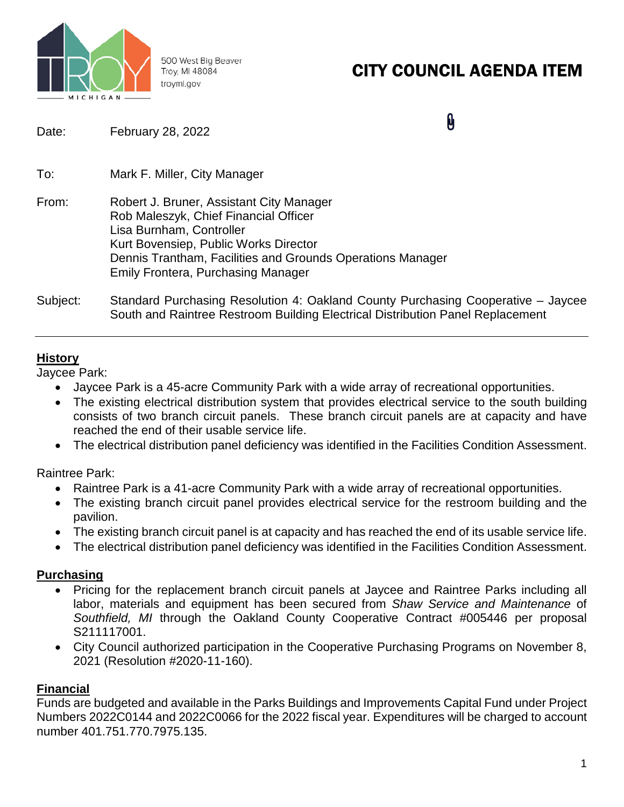

500 West Big Beaver Troy, MI 48084 troymi.gov

# CITY COUNCIL AGENDA ITEM

n

| Date:    | February 28, 2022                                                                                                                                                                                                                                                 | U |  |
|----------|-------------------------------------------------------------------------------------------------------------------------------------------------------------------------------------------------------------------------------------------------------------------|---|--|
| To:      | Mark F. Miller, City Manager                                                                                                                                                                                                                                      |   |  |
| From:    | Robert J. Bruner, Assistant City Manager<br>Rob Maleszyk, Chief Financial Officer<br>Lisa Burnham, Controller<br>Kurt Bovensiep, Public Works Director<br>Dennis Trantham, Facilities and Grounds Operations Manager<br><b>Emily Frontera, Purchasing Manager</b> |   |  |
| Subject: | Standard Purchasing Resolution 4: Oakland County Purchasing Cooperative – Jaycee<br>South and Raintree Restroom Building Electrical Distribution Panel Replacement                                                                                                |   |  |

## **History**

Jaycee Park:

- Jaycee Park is a 45-acre Community Park with a wide array of recreational opportunities.
- The existing electrical distribution system that provides electrical service to the south building consists of two branch circuit panels. These branch circuit panels are at capacity and have reached the end of their usable service life.
- The electrical distribution panel deficiency was identified in the Facilities Condition Assessment.

Raintree Park:

- Raintree Park is a 41-acre Community Park with a wide array of recreational opportunities.
- The existing branch circuit panel provides electrical service for the restroom building and the pavilion.
- The existing branch circuit panel is at capacity and has reached the end of its usable service life.
- The electrical distribution panel deficiency was identified in the Facilities Condition Assessment.

## **Purchasing**

- Pricing for the replacement branch circuit panels at Jaycee and Raintree Parks including all labor, materials and equipment has been secured from *Shaw Service and Maintenance* of *Southfield, MI* through the Oakland County Cooperative Contract #005446 per proposal S211117001.
- City Council authorized participation in the Cooperative Purchasing Programs on November 8, 2021 (Resolution #2020-11-160).

## **Financial**

Funds are budgeted and available in the Parks Buildings and Improvements Capital Fund under Project Numbers 2022C0144 and 2022C0066 for the 2022 fiscal year. Expenditures will be charged to account number 401.751.770.7975.135.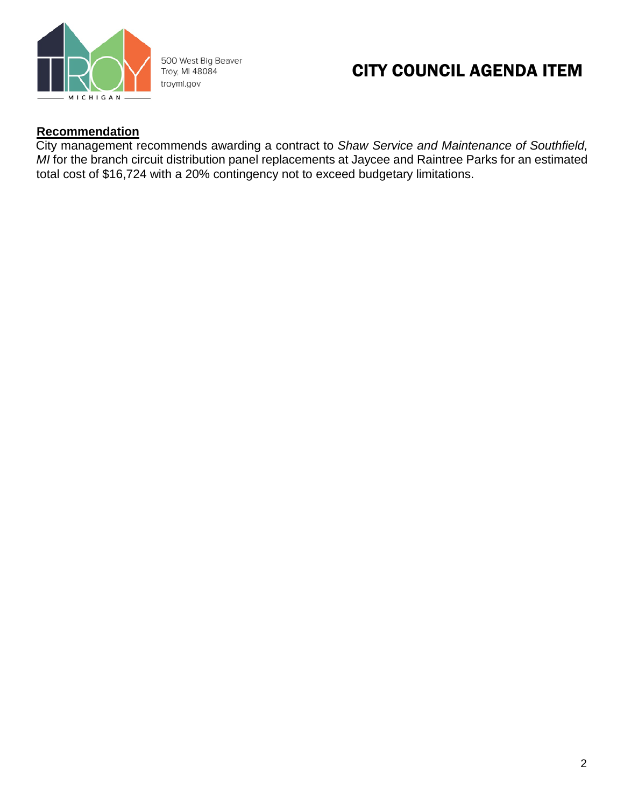

500 West Big Beaver Troy, MI 48084 troymi.gov

# CITY COUNCIL AGENDA ITEM

## **Recommendation**

City management recommends awarding a contract to *Shaw Service and Maintenance of Southfield, MI* for the branch circuit distribution panel replacements at Jaycee and Raintree Parks for an estimated total cost of \$16,724 with a 20% contingency not to exceed budgetary limitations.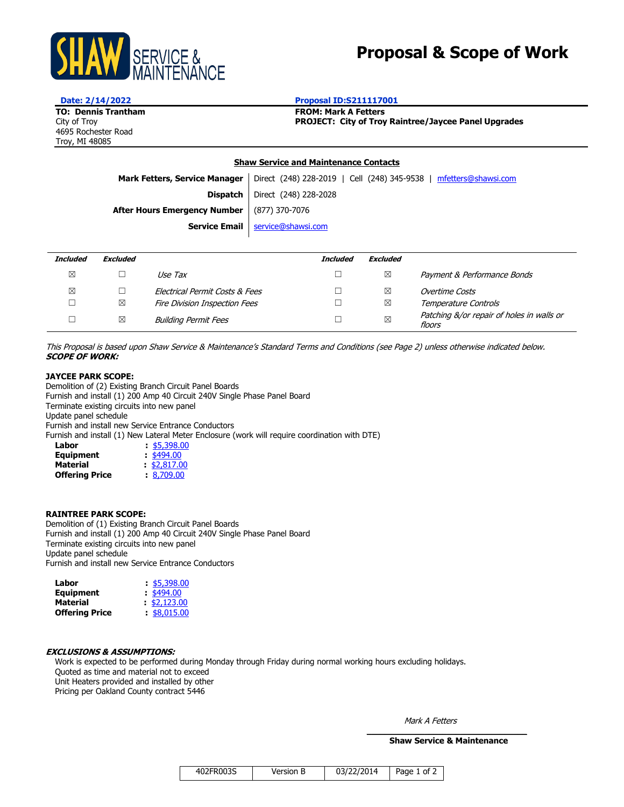

# **Proposal & Scope of Work**

4695 Rochester Road Troy, MI 48085

#### **Date: 2/14/2022 Proposal ID:S211117001**

**TO: Dennis Trantham FROM: Mark A Fetters**<br> **FROM: Mark A Fetters**<br> **FROJECT: City of Troy** City of Troy **PROJECT: City of Troy Raintree/Jaycee Panel Upgrades**

#### **Shaw Service and Maintenance Contacts**

Mark Fetters, Service Manager | Direct (248) 228-2019 | Cell (248) 345-9538 | [mfetters@shawsi.com](mailto:mfetters@shawsi.com)

**Dispatch** Direct (248) 228-2028

**After Hours Emergency Number** (877) 370-7076

**Service Email** | [service@shawsi.com](mailto:service@shawsi.com)

| <b>Included</b> | <b>Excluded</b> |                                | <b>Included</b> | <b>Excluded</b> |                                                     |
|-----------------|-----------------|--------------------------------|-----------------|-----------------|-----------------------------------------------------|
| ⊠               |                 | Use Tax                        |                 | ⊠               | Payment & Performance Bonds                         |
| ⊠               |                 | Electrical Permit Costs & Fees |                 | ⊠               | Overtime Costs                                      |
|                 | ⊠               | Fire Division Inspection Fees  |                 | ⊠               | Temperature Controls                                |
|                 | ⊠               | <b>Building Permit Fees</b>    |                 | ⊠               | Patching &/or repair of holes in walls or<br>floors |

This Proposal is based upon Shaw Service & Maintenance's Standard Terms and Conditions (see Page 2) unless otherwise indicated below. **SCOPE OF WORK:** 

#### **JAYCEE PARK SCOPE:**

Demolition of (2) Existing Branch Circuit Panel Boards Furnish and install (1) 200 Amp 40 Circuit 240V Single Phase Panel Board Terminate existing circuits into new panel Update panel schedule Furnish and install new Service Entrance Conductors Furnish and install (1) New Lateral Meter Enclosure (work will require coordination with DTE) **Labor :** \$5,398.00

| <b>Equipment</b>      | $\frac{$494.00}{ }$ |
|-----------------------|---------------------|
| <b>Material</b>       | \$2,817.00          |
| <b>Offering Price</b> | $\pm 8,709.00$      |

#### **RAINTREE PARK SCOPE:**

Demolition of (1) Existing Branch Circuit Panel Boards Furnish and install (1) 200 Amp 40 Circuit 240V Single Phase Panel Board Terminate existing circuits into new panel Update panel schedule Furnish and install new Service Entrance Conductors

| Labor                 | \$5,398.00                |
|-----------------------|---------------------------|
| <b>Equipment</b>      | $\frac{1494.00}{5494.00}$ |
| <b>Material</b>       | $\frac{1}{2}$ \$2,123.00  |
| <b>Offering Price</b> | \$8,015.00                |
|                       |                           |

#### **EXCLUSIONS & ASSUMPTIONS:**

Work is expected to be performed during Monday through Friday during normal working hours excluding holidays. Quoted as time and material not to exceed Unit Heaters provided and installed by other Pricing per Oakland County contract 5446

Mark A Fetters

 $\mathcal{L}_\text{max}$  and  $\mathcal{L}_\text{max}$  and  $\mathcal{L}_\text{max}$  and  $\mathcal{L}_\text{max}$  **Shaw Service & Maintenance**

| 402FR003S | Version B | 03/22/2014 | Page 1 of 2 |
|-----------|-----------|------------|-------------|
|           |           |            |             |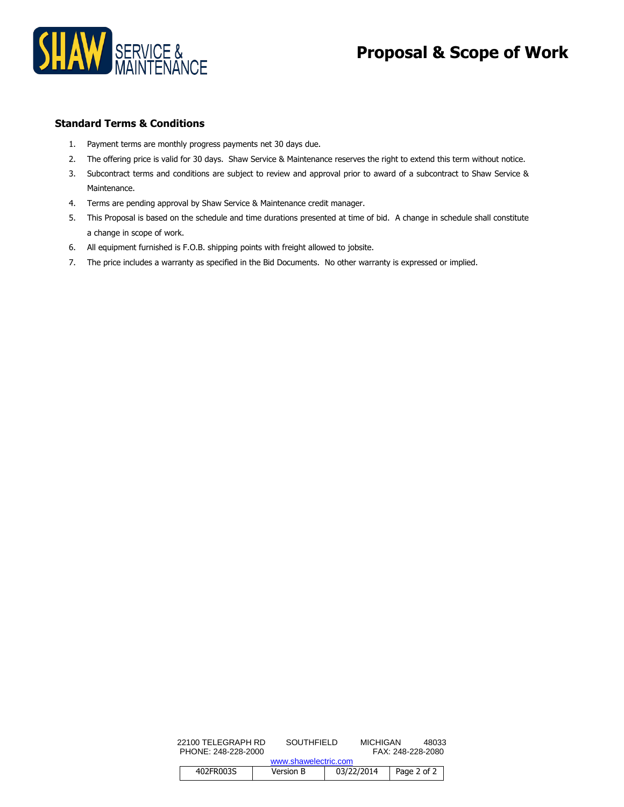

# **Proposal & Scope of Work**

### **Standard Terms & Conditions**

- 1. Payment terms are monthly progress payments net 30 days due.
- 2. The offering price is valid for 30 days. Shaw Service & Maintenance reserves the right to extend this term without notice.
- 3. Subcontract terms and conditions are subject to review and approval prior to award of a subcontract to Shaw Service & Maintenance.
- 4. Terms are pending approval by Shaw Service & Maintenance credit manager.
- 5. This Proposal is based on the schedule and time durations presented at time of bid. A change in schedule shall constitute a change in scope of work.
- 6. All equipment furnished is F.O.B. shipping points with freight allowed to jobsite.
- 7. The price includes a warranty as specified in the Bid Documents. No other warranty is expressed or implied.

|                     | 22100 TELEGRAPH RD | SOUTHFIFLD |                      | MICHIGAN<br>FAX: 248-228-2080 |  | 48033              |
|---------------------|--------------------|------------|----------------------|-------------------------------|--|--------------------|
| PHONE: 248-228-2000 |                    |            | www.shawelectric.com |                               |  |                    |
|                     | 402FR003S          |            | Version B            | 03/22/2014                    |  | Page 2 of $2 \mid$ |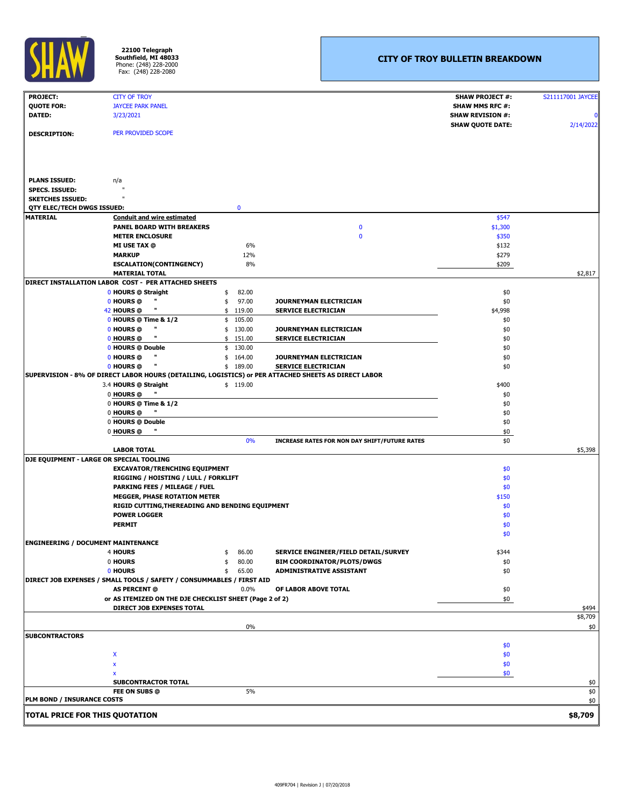| <b>PROJECT:</b>                           | <b>CITY OF TROY</b>                                                                                  | <b>SHAW PROJECT #:</b>  | S211117001 JAYCEE |
|-------------------------------------------|------------------------------------------------------------------------------------------------------|-------------------------|-------------------|
| <b>QUOTE FOR:</b>                         | <b>JAYCEE PARK PANEL</b>                                                                             | <b>SHAW MMS RFC #:</b>  |                   |
| <b>DATED:</b>                             | 3/23/2021                                                                                            | <b>SHAW REVISION #:</b> | Ol                |
|                                           |                                                                                                      | <b>SHAW QUOTE DATE:</b> | 2/14/2022         |
| <b>DESCRIPTION:</b>                       | PER PROVIDED SCOPE                                                                                   |                         |                   |
|                                           |                                                                                                      |                         |                   |
|                                           |                                                                                                      |                         |                   |
|                                           |                                                                                                      |                         |                   |
|                                           |                                                                                                      |                         |                   |
| <b>PLANS ISSUED:</b>                      | n/a                                                                                                  |                         |                   |
| <b>SPECS. ISSUED:</b>                     |                                                                                                      |                         |                   |
| <b>SKETCHES ISSUED:</b>                   |                                                                                                      |                         |                   |
| QTY ELEC/TECH DWGS ISSUED:                | $\mathbf 0$                                                                                          |                         |                   |
| <b>MATERIAL</b>                           | <b>Conduit and wire estimated</b>                                                                    | \$547                   |                   |
|                                           | <b>PANEL BOARD WITH BREAKERS</b><br>$\mathbf 0$                                                      | \$1,300                 |                   |
|                                           | <b>METER ENCLOSURE</b><br>$\bf{0}$                                                                   | \$350                   |                   |
|                                           | 6%<br><b>MI USE TAX @</b>                                                                            | \$132                   |                   |
|                                           | 12%<br><b>MARKUP</b>                                                                                 | \$279                   |                   |
|                                           | 8%<br><b>ESCALATION(CONTINGENCY)</b>                                                                 | \$209                   |                   |
|                                           | <b>MATERIAL TOTAL</b>                                                                                |                         | \$2,817           |
|                                           | DIRECT INSTALLATION LABOR COST - PER ATTACHED SHEETS                                                 |                         |                   |
|                                           | 82.00<br>0 HOURS @ Straight                                                                          | \$0                     |                   |
|                                           | 0 HOURS @<br>97.00<br><b>JOURNEYMAN ELECTRICIAN</b>                                                  | \$0                     |                   |
|                                           | 119.00<br>42 HOURS @<br><b>SERVICE ELECTRICIAN</b>                                                   | \$4,998                 |                   |
|                                           | 0 HOURS @ Time & 1/2<br>105.00<br>\$                                                                 | \$0                     |                   |
|                                           | Ш<br>0 HOURS @<br>130.00<br><b>JOURNEYMAN ELECTRICIAN</b>                                            | \$0                     |                   |
|                                           | 151.00<br><b>SERVICE ELECTRICIAN</b><br>0 HOURS @                                                    | \$0                     |                   |
|                                           | 0 HOURS @ Double<br>130.00                                                                           | \$0                     |                   |
|                                           | П<br>0 HOURS @<br>164.00<br>JOURNEYMAN ELECTRICIAN                                                   | \$0                     |                   |
|                                           | 0 HOURS @<br>$\mathbf{u}$<br>\$189.00<br><b>SERVICE ELECTRICIAN</b>                                  | \$0                     |                   |
|                                           | SUPERVISION - 8% OF DIRECT LABOR HOURS (DETAILING, LOGISTICS) or PER ATTACHED SHEETS AS DIRECT LABOR |                         |                   |
|                                           | 3.4 HOURS @ Straight<br>\$119.00                                                                     | \$400                   |                   |
|                                           | 0 HOURS @                                                                                            | \$0                     |                   |
|                                           | 0 HOURS @ Time & 1/2                                                                                 | \$0                     |                   |
|                                           | 0 HOURS @                                                                                            | \$0                     |                   |
|                                           | 0 HOURS @ Double                                                                                     | \$0                     |                   |
|                                           | 0 HOURS @                                                                                            | \$0                     |                   |
|                                           | 0%<br><b>INCREASE RATES FOR NON DAY SHIFT/FUTURE RATES</b>                                           | \$0                     |                   |
|                                           | <b>LABOR TOTAL</b>                                                                                   |                         | \$5,398           |
|                                           | <b>DJE EQUIPMENT - LARGE OR SPECIAL TOOLING</b>                                                      |                         |                   |
|                                           | <b>EXCAVATOR/TRENCHING EQUIPMENT</b>                                                                 | \$0                     |                   |
|                                           | RIGGING / HOISTING / LULL / FORKLIFT                                                                 | \$0                     |                   |
|                                           | <b>PARKING FEES / MILEAGE / FUEL</b>                                                                 | \$0                     |                   |
|                                           | <b>MEGGER, PHASE ROTATION METER</b>                                                                  | \$150                   |                   |
|                                           | RIGID CUTTING, THEREADING AND BENDING EQUIPMENT                                                      | \$0                     |                   |
|                                           | <b>POWER LOGGER</b>                                                                                  | \$0                     |                   |
|                                           | <b>PERMIT</b>                                                                                        | \$0                     |                   |
|                                           |                                                                                                      | \$0                     |                   |
| <b>ENGINEERING / DOCUMENT MAINTENANCE</b> |                                                                                                      |                         |                   |
|                                           | 4 HOURS<br>86.00<br>SERVICE ENGINEER/FIELD DETAIL/SURVEY                                             | \$344                   |                   |
|                                           | 0 HOURS<br>80.00<br><b>BIM COORDINATOR/PLOTS/DWGS</b>                                                | \$0                     |                   |
|                                           | 0 HOURS<br>65.00<br><b>ADMINISTRATIVE ASSISTANT</b><br>-\$                                           | \$0                     |                   |
|                                           | DIRECT JOB EXPENSES / SMALL TOOLS / SAFETY / CONSUMMABLES / FIRST AID                                |                         |                   |
|                                           | <b>AS PERCENT @</b><br>0.0%<br>OF LABOR ABOVE TOTAL                                                  | \$0                     |                   |
|                                           | or AS ITEMIZED ON THE DJE CHECKLIST SHEET (Page 2 of 2)                                              | \$0                     |                   |
|                                           | <b>DIRECT JOB EXPENSES TOTAL</b>                                                                     |                         | \$494<br>\$8,709  |
|                                           | 0%                                                                                                   |                         |                   |
| <b>SUBCONTRACTORS</b>                     |                                                                                                      |                         | \$0               |
|                                           |                                                                                                      | \$0                     |                   |
|                                           |                                                                                                      |                         |                   |
|                                           | X                                                                                                    | \$0                     |                   |
|                                           |                                                                                                      | \$0                     |                   |
|                                           |                                                                                                      | \$0                     |                   |
|                                           | <b>SUBCONTRACTOR TOTAL</b><br>5%<br>FEE ON SUBS @                                                    |                         | \$0               |
| <b>PLM BOND / INSURANCE COSTS</b>         |                                                                                                      |                         | $$0$$<br>\$0      |
|                                           |                                                                                                      |                         |                   |
| <b>TOTAL PRICE FOR THIS QUOTATION</b>     |                                                                                                      |                         | \$8,709           |
|                                           |                                                                                                      |                         |                   |

## **CITY OF TROY BULLETIN BREAKDOWN**



**22100 Telegraph Southfield, MI 48033** Phone: (248) 228-2000 Fax: (248) 228-2080